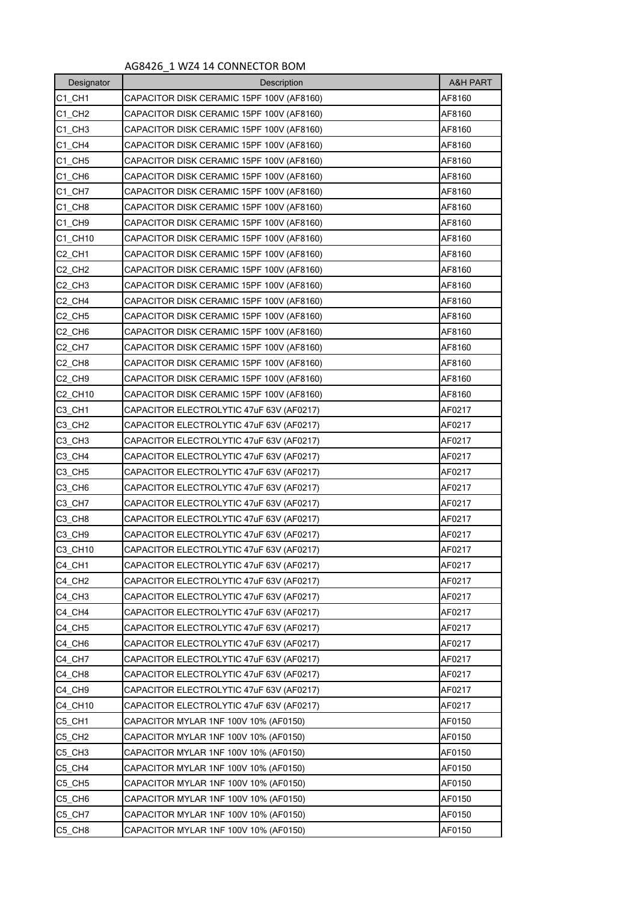## AG8426\_1 WZ4 14 CONNECTOR BOM

| Designator                      | Description                               | <b>A&amp;H PART</b> |
|---------------------------------|-------------------------------------------|---------------------|
| C1 CH1                          | CAPACITOR DISK CERAMIC 15PF 100V (AF8160) | AF8160              |
| C1 CH <sub>2</sub>              | CAPACITOR DISK CERAMIC 15PF 100V (AF8160) | AF8160              |
| C1 CH3                          | CAPACITOR DISK CERAMIC 15PF 100V (AF8160) | AF8160              |
| C1 CH4                          | CAPACITOR DISK CERAMIC 15PF 100V (AF8160) | AF8160              |
| C1 CH5                          | CAPACITOR DISK CERAMIC 15PF 100V (AF8160) | AF8160              |
| C1_CH6                          | CAPACITOR DISK CERAMIC 15PF 100V (AF8160) | AF8160              |
| C1 CH7                          | CAPACITOR DISK CERAMIC 15PF 100V (AF8160) | AF8160              |
| C1 CH8                          | CAPACITOR DISK CERAMIC 15PF 100V (AF8160) | AF8160              |
| C1_CH9                          | CAPACITOR DISK CERAMIC 15PF 100V (AF8160) | AF8160              |
| C1 CH10                         | CAPACITOR DISK CERAMIC 15PF 100V (AF8160) | AF8160              |
| C <sub>2</sub> CH <sub>1</sub>  | CAPACITOR DISK CERAMIC 15PF 100V (AF8160) | AF8160              |
| C2 CH2                          | CAPACITOR DISK CERAMIC 15PF 100V (AF8160) | AF8160              |
| C <sub>2</sub> _CH <sub>3</sub> | CAPACITOR DISK CERAMIC 15PF 100V (AF8160) | AF8160              |
| C <sub>2</sub> _CH4             | CAPACITOR DISK CERAMIC 15PF 100V (AF8160) | AF8160              |
| C <sub>2</sub> CH <sub>5</sub>  | CAPACITOR DISK CERAMIC 15PF 100V (AF8160) | AF8160              |
| C <sub>2</sub> CH <sub>6</sub>  | CAPACITOR DISK CERAMIC 15PF 100V (AF8160) | AF8160              |
| C <sub>2</sub> CH <sub>7</sub>  | CAPACITOR DISK CERAMIC 15PF 100V (AF8160) | AF8160              |
| C <sub>2</sub> CH <sub>8</sub>  | CAPACITOR DISK CERAMIC 15PF 100V (AF8160) | AF8160              |
| C2 CH9                          | CAPACITOR DISK CERAMIC 15PF 100V (AF8160) | AF8160              |
| C2_CH10                         | CAPACITOR DISK CERAMIC 15PF 100V (AF8160) | AF8160              |
| C3 CH1                          | CAPACITOR ELECTROLYTIC 47uF 63V (AF0217)  | AF0217              |
| C <sub>3</sub> _CH <sub>2</sub> | CAPACITOR ELECTROLYTIC 47uF 63V (AF0217)  | AF0217              |
| C <sub>3</sub> CH <sub>3</sub>  | CAPACITOR ELECTROLYTIC 47uF 63V (AF0217)  | AF0217              |
| C3 CH4                          | CAPACITOR ELECTROLYTIC 47uF 63V (AF0217)  | AF0217              |
| C <sub>3</sub> _CH <sub>5</sub> | CAPACITOR ELECTROLYTIC 47uF 63V (AF0217)  | AF0217              |
| C3 CH6                          | CAPACITOR ELECTROLYTIC 47uF 63V (AF0217)  | AF0217              |
| C3_CH7                          | CAPACITOR ELECTROLYTIC 47uF 63V (AF0217)  | AF0217              |
| C <sub>3</sub> _CH <sub>8</sub> | CAPACITOR ELECTROLYTIC 47uF 63V (AF0217)  | AF0217              |
| C <sub>3</sub> CH <sub>9</sub>  | CAPACITOR ELECTROLYTIC 47uF 63V (AF0217)  | AF0217              |
| C3_CH10                         | CAPACITOR ELECTROLYTIC 47uF 63V (AF0217)  | AF0217              |
| C4_CH1                          | CAPACITOR ELECTROLYTIC 47uF 63V (AF0217)  | AF0217              |
| C4 CH <sub>2</sub>              | CAPACITOR ELECTROLYTIC 47uF 63V (AF0217)  | AF0217              |
| C4_CH3                          | CAPACITOR ELECTROLYTIC 47uF 63V (AF0217)  | AF0217              |
| C4 CH4                          | CAPACITOR ELECTROLYTIC 47uF 63V (AF0217)  | AF0217              |
| C4_CH5                          | CAPACITOR ELECTROLYTIC 47uF 63V (AF0217)  | AF0217              |
| C4_CH6                          | CAPACITOR ELECTROLYTIC 47uF 63V (AF0217)  | AF0217              |
| C4 CH7                          | CAPACITOR ELECTROLYTIC 47uF 63V (AF0217)  | AF0217              |
| C4 CH8                          | CAPACITOR ELECTROLYTIC 47uF 63V (AF0217)  | AF0217              |
| C4_CH9                          | CAPACITOR ELECTROLYTIC 47uF 63V (AF0217)  | AF0217              |
| C4 CH10                         | CAPACITOR ELECTROLYTIC 47uF 63V (AF0217)  | AF0217              |
| C5 CH1                          | CAPACITOR MYLAR 1NF 100V 10% (AF0150)     | AF0150              |
| C5_CH2                          | CAPACITOR MYLAR 1NF 100V 10% (AF0150)     | AF0150              |
| C5 CH3                          | CAPACITOR MYLAR 1NF 100V 10% (AF0150)     | AF0150              |
| C5_CH4                          | CAPACITOR MYLAR 1NF 100V 10% (AF0150)     | AF0150              |
| C5 CH5                          | CAPACITOR MYLAR 1NF 100V 10% (AF0150)     | AF0150              |
| C5_CH6                          | CAPACITOR MYLAR 1NF 100V 10% (AF0150)     | AF0150              |
| C5_CH7                          | CAPACITOR MYLAR 1NF 100V 10% (AF0150)     | AF0150              |
| C5_CH8                          | CAPACITOR MYLAR 1NF 100V 10% (AF0150)     | AF0150              |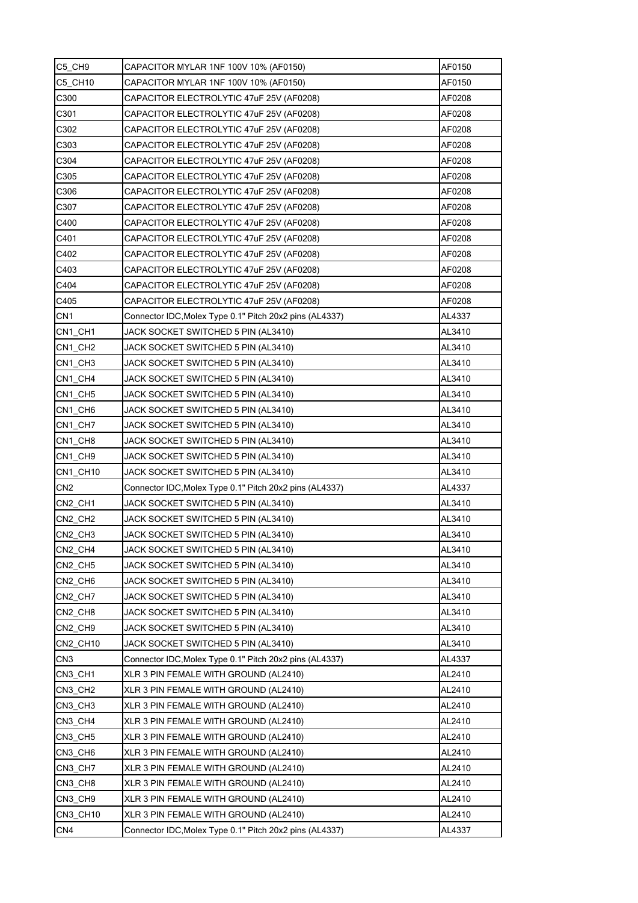| C5_CH9          | CAPACITOR MYLAR 1NF 100V 10% (AF0150)                   | AF0150 |
|-----------------|---------------------------------------------------------|--------|
| C5 CH10         | CAPACITOR MYLAR 1NF 100V 10% (AF0150)                   | AF0150 |
| C300            | CAPACITOR ELECTROLYTIC 47uF 25V (AF0208)                | AF0208 |
| C301            | CAPACITOR ELECTROLYTIC 47uF 25V (AF0208)                | AF0208 |
| C302            | CAPACITOR ELECTROLYTIC 47uF 25V (AF0208)                | AF0208 |
| C303            | CAPACITOR ELECTROLYTIC 47uF 25V (AF0208)                | AF0208 |
| C304            | CAPACITOR ELECTROLYTIC 47uF 25V (AF0208)                | AF0208 |
| C305            | CAPACITOR ELECTROLYTIC 47uF 25V (AF0208)                | AF0208 |
| C306            | CAPACITOR ELECTROLYTIC 47uF 25V (AF0208)                | AF0208 |
| C307            | CAPACITOR ELECTROLYTIC 47uF 25V (AF0208)                | AF0208 |
| C400            | CAPACITOR ELECTROLYTIC 47uF 25V (AF0208)                | AF0208 |
| C401            | CAPACITOR ELECTROLYTIC 47uF 25V (AF0208)                | AF0208 |
| C402            | CAPACITOR ELECTROLYTIC 47uF 25V (AF0208)                | AF0208 |
| C403            | CAPACITOR ELECTROLYTIC 47uF 25V (AF0208)                | AF0208 |
| C404            | CAPACITOR ELECTROLYTIC 47uF 25V (AF0208)                | AF0208 |
| C405            | CAPACITOR ELECTROLYTIC 47uF 25V (AF0208)                | AF0208 |
| CN <sub>1</sub> | Connector IDC, Molex Type 0.1" Pitch 20x2 pins (AL4337) | AL4337 |
| CN1 CH1         | JACK SOCKET SWITCHED 5 PIN (AL3410)                     | AL3410 |
| CN1_CH2         | JACK SOCKET SWITCHED 5 PIN (AL3410)                     | AL3410 |
| CN1 CH3         | JACK SOCKET SWITCHED 5 PIN (AL3410)                     | AL3410 |
| CN1 CH4         | JACK SOCKET SWITCHED 5 PIN (AL3410)                     | AL3410 |
| CN1 CH5         | JACK SOCKET SWITCHED 5 PIN (AL3410)                     | AL3410 |
| CN1 CH6         | JACK SOCKET SWITCHED 5 PIN (AL3410)                     | AL3410 |
| CN1 CH7         | JACK SOCKET SWITCHED 5 PIN (AL3410)                     | AL3410 |
| CN1 CH8         | JACK SOCKET SWITCHED 5 PIN (AL3410)                     | AL3410 |
| CN1 CH9         | JACK SOCKET SWITCHED 5 PIN (AL3410)                     | AL3410 |
| CN1 CH10        | JACK SOCKET SWITCHED 5 PIN (AL3410)                     | AL3410 |
| CN <sub>2</sub> | Connector IDC, Molex Type 0.1" Pitch 20x2 pins (AL4337) | AL4337 |
| CN2 CH1         | JACK SOCKET SWITCHED 5 PIN (AL3410)                     | AL3410 |
| CN2_CH2         | JACK SOCKET SWITCHED 5 PIN (AL3410)                     | AL3410 |
| CN2_CH3         | JACK SOCKET SWITCHED 5 PIN (AL3410)                     | AL3410 |
| CN2 CH4         | JACK SOCKET SWITCHED 5 PIN (AL3410)                     | AL3410 |
| CN2 CH5         | JACK SOCKET SWITCHED 5 PIN (AL3410)                     | AL3410 |
| CN2_CH6         | JACK SOCKET SWITCHED 5 PIN (AL3410)                     | AL3410 |
| CN2 CH7         | JACK SOCKET SWITCHED 5 PIN (AL3410)                     | AL3410 |
| CN2 CH8         | JACK SOCKET SWITCHED 5 PIN (AL3410)                     | AL3410 |
| CN2 CH9         | JACK SOCKET SWITCHED 5 PIN (AL3410)                     | AL3410 |
| CN2_CH10        | JACK SOCKET SWITCHED 5 PIN (AL3410)                     | AL3410 |
| CN <sub>3</sub> | Connector IDC, Molex Type 0.1" Pitch 20x2 pins (AL4337) | AL4337 |
| CN3 CH1         | XLR 3 PIN FEMALE WITH GROUND (AL2410)                   | AL2410 |
| CN3_CH2         | XLR 3 PIN FEMALE WITH GROUND (AL2410)                   | AL2410 |
| CN3 CH3         | XLR 3 PIN FEMALE WITH GROUND (AL2410)                   | AL2410 |
| CN3_CH4         | XLR 3 PIN FEMALE WITH GROUND (AL2410)                   | AL2410 |
| CN3 CH5         | XLR 3 PIN FEMALE WITH GROUND (AL2410)                   | AL2410 |
| CN3_CH6         | XLR 3 PIN FEMALE WITH GROUND (AL2410)                   | AL2410 |
| CN3_CH7         | XLR 3 PIN FEMALE WITH GROUND (AL2410)                   | AL2410 |
| CN3_CH8         | XLR 3 PIN FEMALE WITH GROUND (AL2410)                   | AL2410 |
| CN3_CH9         | XLR 3 PIN FEMALE WITH GROUND (AL2410)                   | AL2410 |
| CN3_CH10        | XLR 3 PIN FEMALE WITH GROUND (AL2410)                   | AL2410 |
| CN4             | Connector IDC, Molex Type 0.1" Pitch 20x2 pins (AL4337) | AL4337 |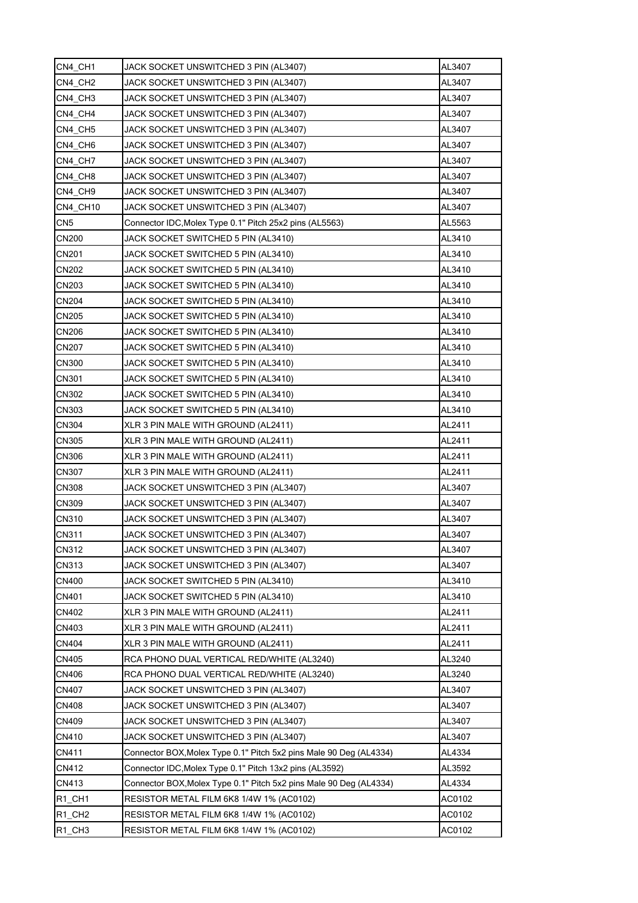| CN4_CH1            | JACK SOCKET UNSWITCHED 3 PIN (AL3407)                              | AL3407 |
|--------------------|--------------------------------------------------------------------|--------|
| CN4 CH2            | JACK SOCKET UNSWITCHED 3 PIN (AL3407)                              | AL3407 |
| CN4 CH3            | JACK SOCKET UNSWITCHED 3 PIN (AL3407)                              | AL3407 |
| CN4 CH4            | JACK SOCKET UNSWITCHED 3 PIN (AL3407)                              | AL3407 |
| CN4 CH5            | JACK SOCKET UNSWITCHED 3 PIN (AL3407)                              | AL3407 |
| CN4 CH6            | JACK SOCKET UNSWITCHED 3 PIN (AL3407)                              | AL3407 |
| CN4 CH7            | JACK SOCKET UNSWITCHED 3 PIN (AL3407)                              | AL3407 |
| CN4 CH8            | JACK SOCKET UNSWITCHED 3 PIN (AL3407)                              | AL3407 |
| CN4 CH9            | JACK SOCKET UNSWITCHED 3 PIN (AL3407)                              | AL3407 |
| CN4_CH10           | JACK SOCKET UNSWITCHED 3 PIN (AL3407)                              | AL3407 |
| CN <sub>5</sub>    | Connector IDC, Molex Type 0.1" Pitch 25x2 pins (AL5563)            | AL5563 |
| CN200              | JACK SOCKET SWITCHED 5 PIN (AL3410)                                | AL3410 |
| CN201              | JACK SOCKET SWITCHED 5 PIN (AL3410)                                | AL3410 |
| CN202              | JACK SOCKET SWITCHED 5 PIN (AL3410)                                | AL3410 |
| CN203              | JACK SOCKET SWITCHED 5 PIN (AL3410)                                | AL3410 |
| <b>CN204</b>       | JACK SOCKET SWITCHED 5 PIN (AL3410)                                | AL3410 |
| CN205              | JACK SOCKET SWITCHED 5 PIN (AL3410)                                | AL3410 |
| CN206              | JACK SOCKET SWITCHED 5 PIN (AL3410)                                | AL3410 |
| CN207              | JACK SOCKET SWITCHED 5 PIN (AL3410)                                | AL3410 |
| CN300              | JACK SOCKET SWITCHED 5 PIN (AL3410)                                | AL3410 |
| CN301              | JACK SOCKET SWITCHED 5 PIN (AL3410)                                | AL3410 |
| CN302              | JACK SOCKET SWITCHED 5 PIN (AL3410)                                | AL3410 |
| CN303              | JACK SOCKET SWITCHED 5 PIN (AL3410)                                | AL3410 |
| CN304              | XLR 3 PIN MALE WITH GROUND (AL2411)                                | AL2411 |
| CN305              | XLR 3 PIN MALE WITH GROUND (AL2411)                                | AL2411 |
| <b>CN306</b>       | XLR 3 PIN MALE WITH GROUND (AL2411)                                | AL2411 |
| CN307              | XLR 3 PIN MALE WITH GROUND (AL2411)                                | AL2411 |
| <b>CN308</b>       | JACK SOCKET UNSWITCHED 3 PIN (AL3407)                              | AL3407 |
| <b>CN309</b>       | JACK SOCKET UNSWITCHED 3 PIN (AL3407)                              | AL3407 |
| CN310              | JACK SOCKET UNSWITCHED 3 PIN (AL3407)                              | AL3407 |
| CN311              | JACK SOCKET UNSWITCHED 3 PIN (AL3407)                              | AL3407 |
| CN312              | JACK SOCKET UNSWITCHED 3 PIN (AL3407)                              | AL3407 |
| CN313              | JACK SOCKET UNSWITCHED 3 PIN (AL3407)                              | AL3407 |
| CN400              | JACK SOCKET SWITCHED 5 PIN (AL3410)                                | AL3410 |
| CN401              | JACK SOCKET SWITCHED 5 PIN (AL3410)                                | AL3410 |
| CN402              | XLR 3 PIN MALE WITH GROUND (AL2411)                                | AL2411 |
| CN403              | XLR 3 PIN MALE WITH GROUND (AL2411)                                | AL2411 |
| <b>CN404</b>       | XLR 3 PIN MALE WITH GROUND (AL2411)                                | AL2411 |
| CN405              | RCA PHONO DUAL VERTICAL RED/WHITE (AL3240)                         | AL3240 |
| CN406              | RCA PHONO DUAL VERTICAL RED/WHITE (AL3240)                         | AL3240 |
| CN407              | JACK SOCKET UNSWITCHED 3 PIN (AL3407)                              | AL3407 |
| CN408              | JACK SOCKET UNSWITCHED 3 PIN (AL3407)                              | AL3407 |
| CN409              | JACK SOCKET UNSWITCHED 3 PIN (AL3407)                              | AL3407 |
| CN410              | JACK SOCKET UNSWITCHED 3 PIN (AL3407)                              | AL3407 |
| CN411              | Connector BOX, Molex Type 0.1" Pitch 5x2 pins Male 90 Deg (AL4334) | AL4334 |
| CN412              | Connector IDC, Molex Type 0.1" Pitch 13x2 pins (AL3592)            | AL3592 |
| CN413              | Connector BOX, Molex Type 0.1" Pitch 5x2 pins Male 90 Deg (AL4334) | AL4334 |
| R1_CH1             | RESISTOR METAL FILM 6K8 1/4W 1% (AC0102)                           | AC0102 |
| R1 CH <sub>2</sub> | RESISTOR METAL FILM 6K8 1/4W 1% (AC0102)                           | AC0102 |
| R1 CH3             | RESISTOR METAL FILM 6K8 1/4W 1% (AC0102)                           | AC0102 |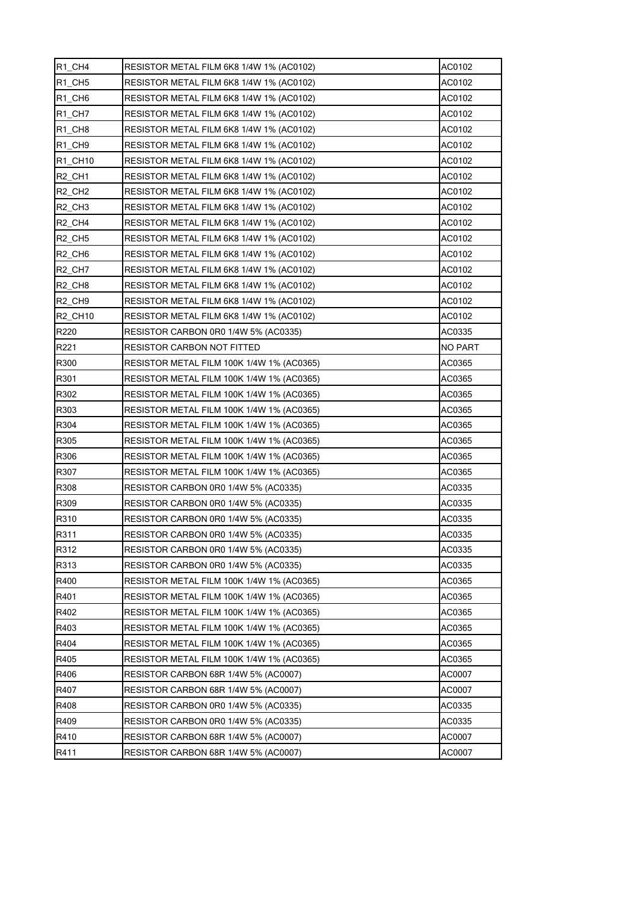| R <sub>1</sub> CH <sub>4</sub> | RESISTOR METAL FILM 6K8 1/4W 1% (AC0102)  | AC0102         |
|--------------------------------|-------------------------------------------|----------------|
| R1 CH5                         | RESISTOR METAL FILM 6K8 1/4W 1% (AC0102)  | AC0102         |
| R1 CH6                         | RESISTOR METAL FILM 6K8 1/4W 1% (AC0102)  | AC0102         |
| R1 CH7                         | RESISTOR METAL FILM 6K8 1/4W 1% (AC0102)  | AC0102         |
| R <sub>1</sub> CH <sub>8</sub> | RESISTOR METAL FILM 6K8 1/4W 1% (AC0102)  | AC0102         |
| R <sub>1</sub> CH <sub>9</sub> | RESISTOR METAL FILM 6K8 1/4W 1% (AC0102)  | AC0102         |
| R1 CH10                        | RESISTOR METAL FILM 6K8 1/4W 1% (AC0102)  | AC0102         |
| R <sub>2</sub> CH <sub>1</sub> | RESISTOR METAL FILM 6K8 1/4W 1% (AC0102)  | AC0102         |
| R <sub>2</sub> CH <sub>2</sub> | RESISTOR METAL FILM 6K8 1/4W 1% (AC0102)  | AC0102         |
| R <sub>2</sub> CH <sub>3</sub> | RESISTOR METAL FILM 6K8 1/4W 1% (AC0102)  | AC0102         |
| R <sub>2</sub> CH <sub>4</sub> | RESISTOR METAL FILM 6K8 1/4W 1% (AC0102)  | AC0102         |
| <b>R2 CH5</b>                  | RESISTOR METAL FILM 6K8 1/4W 1% (AC0102)  | AC0102         |
| R <sub>2</sub> CH <sub>6</sub> | RESISTOR METAL FILM 6K8 1/4W 1% (AC0102)  | AC0102         |
| R <sub>2</sub> CH <sub>7</sub> | RESISTOR METAL FILM 6K8 1/4W 1% (AC0102)  | AC0102         |
| R <sub>2</sub> CH <sub>8</sub> | RESISTOR METAL FILM 6K8 1/4W 1% (AC0102)  | AC0102         |
| R <sub>2</sub> CH <sub>9</sub> | RESISTOR METAL FILM 6K8 1/4W 1% (AC0102)  | AC0102         |
| <b>R2 CH10</b>                 | RESISTOR METAL FILM 6K8 1/4W 1% (AC0102)  | AC0102         |
| R220                           | RESISTOR CARBON 0R0 1/4W 5% (AC0335)      | AC0335         |
| R221                           | RESISTOR CARBON NOT FITTED                | <b>NO PART</b> |
| R300                           | RESISTOR METAL FILM 100K 1/4W 1% (AC0365) | AC0365         |
| R301                           | RESISTOR METAL FILM 100K 1/4W 1% (AC0365) | AC0365         |
| R302                           | RESISTOR METAL FILM 100K 1/4W 1% (AC0365) | AC0365         |
| R303                           | RESISTOR METAL FILM 100K 1/4W 1% (AC0365) | AC0365         |
| R304                           | RESISTOR METAL FILM 100K 1/4W 1% (AC0365) | AC0365         |
| R305                           | RESISTOR METAL FILM 100K 1/4W 1% (AC0365) | AC0365         |
| R306                           | RESISTOR METAL FILM 100K 1/4W 1% (AC0365) | AC0365         |
| R307                           | RESISTOR METAL FILM 100K 1/4W 1% (AC0365) | AC0365         |
| R308                           | RESISTOR CARBON 0R0 1/4W 5% (AC0335)      | AC0335         |
| R309                           | RESISTOR CARBON 0R0 1/4W 5% (AC0335)      | AC0335         |
| R310                           | RESISTOR CARBON 0R0 1/4W 5% (AC0335)      | AC0335         |
| R311                           | RESISTOR CARBON 0R0 1/4W 5% (AC0335)      | AC0335         |
| R312                           | RESISTOR CARBON 0R0 1/4W 5% (AC0335)      | AC0335         |
| R313                           | RESISTOR CARBON 0R0 1/4W 5% (AC0335)      | AC0335         |
| R400                           | RESISTOR METAL FILM 100K 1/4W 1% (AC0365) | AC0365         |
| R401                           | RESISTOR METAL FILM 100K 1/4W 1% (AC0365) | AC0365         |
| R402                           | RESISTOR METAL FILM 100K 1/4W 1% (AC0365) | AC0365         |
| R403                           | RESISTOR METAL FILM 100K 1/4W 1% (AC0365) | AC0365         |
| R404                           | RESISTOR METAL FILM 100K 1/4W 1% (AC0365) | AC0365         |
| R405                           | RESISTOR METAL FILM 100K 1/4W 1% (AC0365) | AC0365         |
| R406                           | RESISTOR CARBON 68R 1/4W 5% (AC0007)      | AC0007         |
| R407                           | RESISTOR CARBON 68R 1/4W 5% (AC0007)      | AC0007         |
| R408                           | RESISTOR CARBON 0R0 1/4W 5% (AC0335)      | AC0335         |
| R409                           | RESISTOR CARBON 0R0 1/4W 5% (AC0335)      | AC0335         |
| R410                           | RESISTOR CARBON 68R 1/4W 5% (AC0007)      | AC0007         |
| R411                           | RESISTOR CARBON 68R 1/4W 5% (AC0007)      | AC0007         |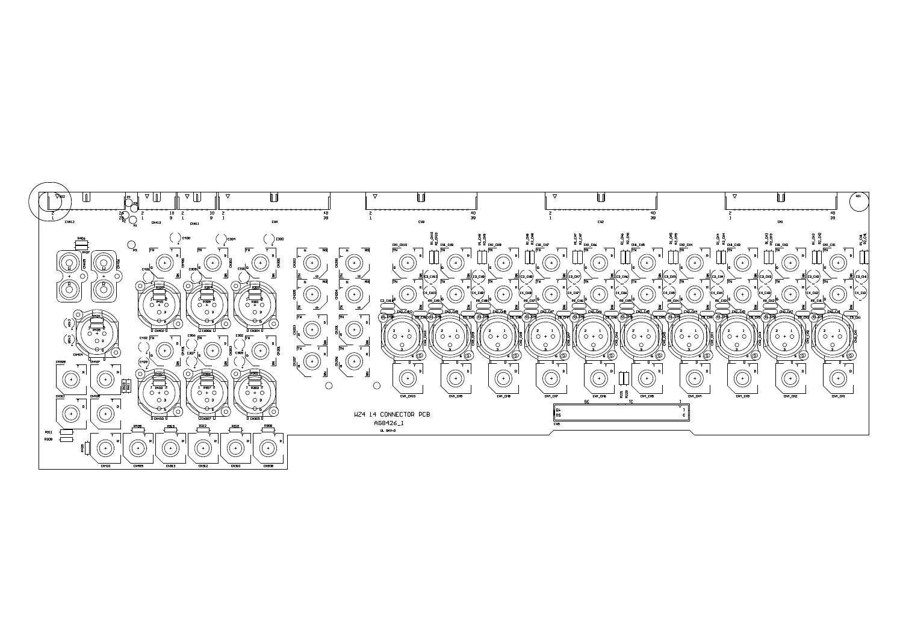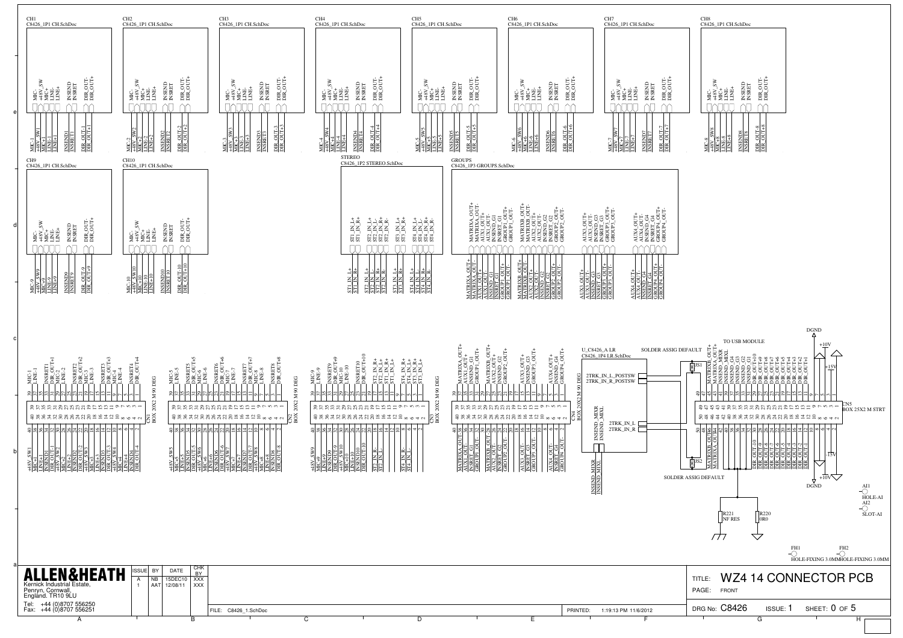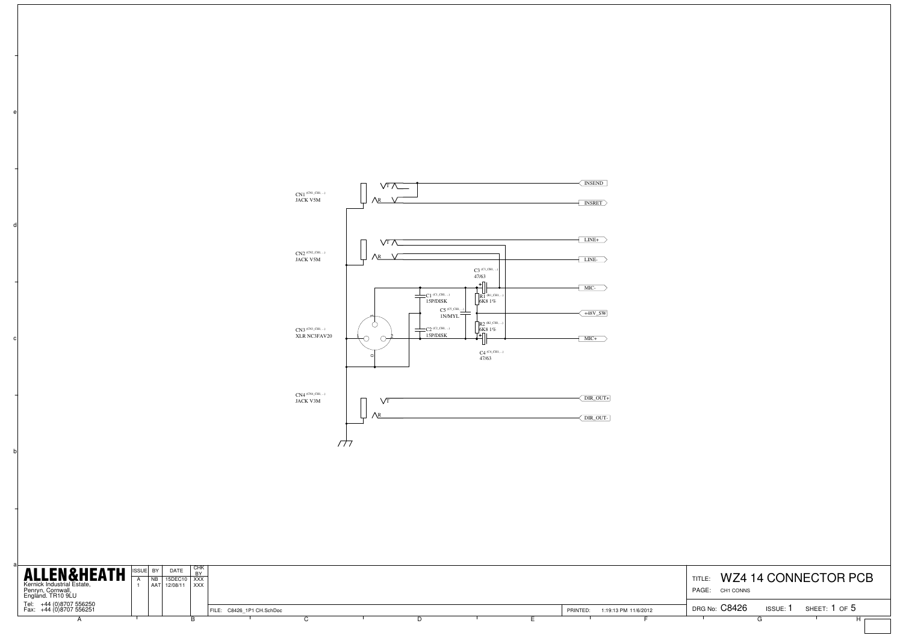

b

c

d

| <b>ALLEN&amp;HEATH</b><br>Kernick Industrial Estate,<br>Penryn, Cornwall,<br>England. TR10 9LU | ISSUE BY | DATE<br>15DEC10 XXX<br>AAT 12/08/11 XXX | I CHK |                           |  |  |          |                      | TITLE<br>PAGE: CH1 CONNS |        | WZ4 14 CONNECTOR PCB |
|------------------------------------------------------------------------------------------------|----------|-----------------------------------------|-------|---------------------------|--|--|----------|----------------------|--------------------------|--------|----------------------|
| Tel: +44 (0)8707 556250<br>Fax: +44 (0)8707 556251                                             |          |                                         |       | FILE: C8426 1P1 CH.SchDoc |  |  | PRINTED: | 1:19:13 PM 11/6/2012 | DRG No: C8426            | ISSUE: | sheet: 1 of 5        |
|                                                                                                |          |                                         |       |                           |  |  |          |                      |                          |        |                      |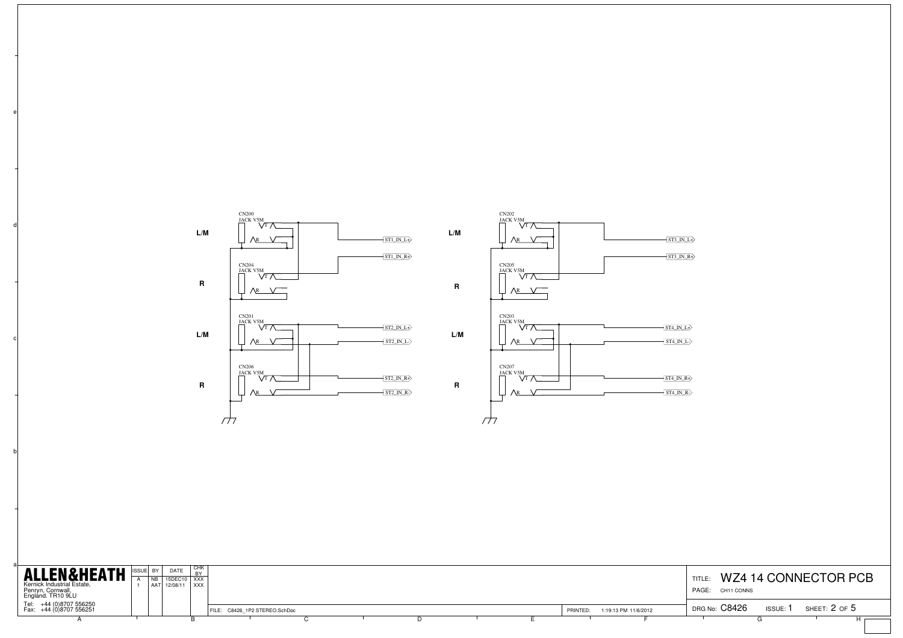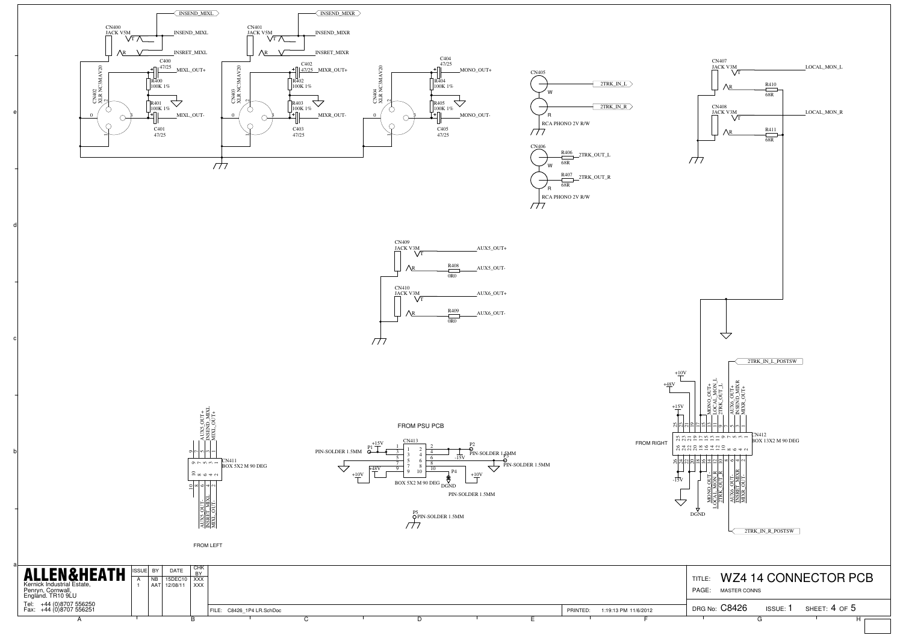